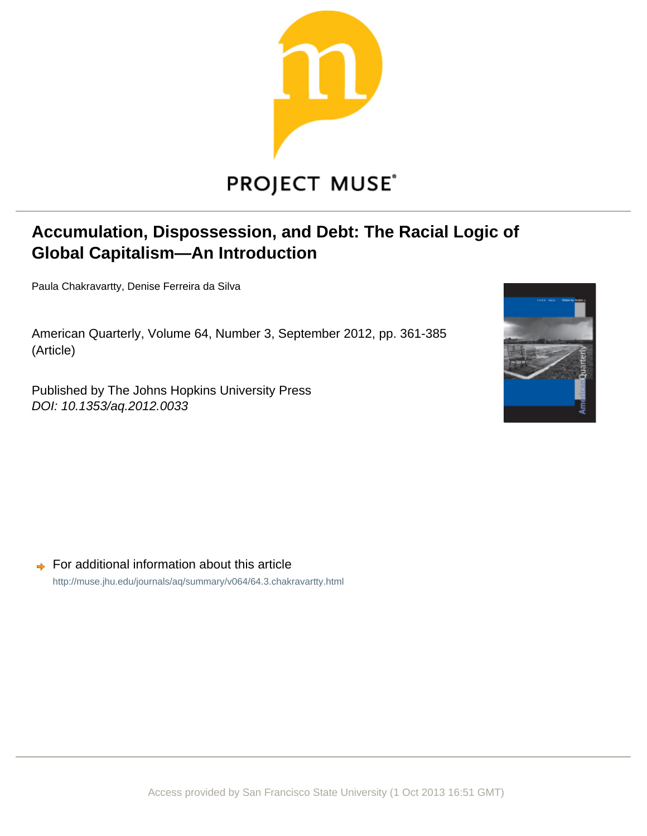

# **PROJECT MUSE®**

## **Accumulation, Dispossession, and Debt: The Racial Logic of Global Capitalism—An Introduction**

Paula Chakravartty, Denise Ferreira da Silva

American Quarterly, Volume 64, Number 3, September 2012, pp. 361-385 (Article)

Published by The Johns Hopkins University Press DOI: 10.1353/aq.2012.0033



 $\rightarrow$  For additional information about this article <http://muse.jhu.edu/journals/aq/summary/v064/64.3.chakravartty.html>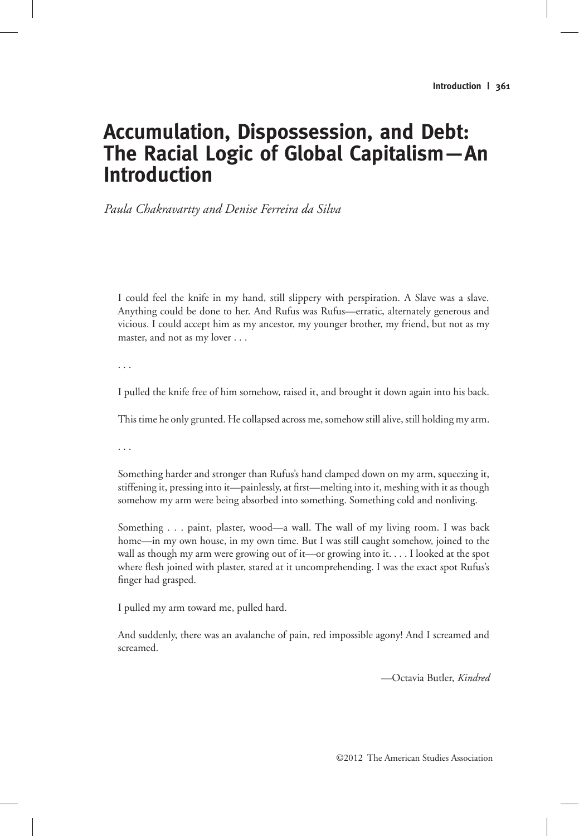### **Accumulation, Dispossession, and Debt: The Racial Logic of Global Capitalism—An Introduction**

*Paula Chakravartty and Denise Ferreira da Silva*

I could feel the knife in my hand, still slippery with perspiration. A Slave was a slave. Anything could be done to her. And Rufus was Rufus—erratic, alternately generous and vicious. I could accept him as my ancestor, my younger brother, my friend, but not as my master, and not as my lover . . .

. . .

I pulled the knife free of him somehow, raised it, and brought it down again into his back.

This time he only grunted. He collapsed across me, somehow still alive, still holding my arm.

. . .

Something harder and stronger than Rufus's hand clamped down on my arm, squeezing it, stiffening it, pressing into it—painlessly, at first—melting into it, meshing with it as though somehow my arm were being absorbed into something. Something cold and nonliving.

Something . . . paint, plaster, wood—a wall. The wall of my living room. I was back home—in my own house, in my own time. But I was still caught somehow, joined to the wall as though my arm were growing out of it—or growing into it. . . . I looked at the spot where flesh joined with plaster, stared at it uncomprehending. I was the exact spot Rufus's finger had grasped.

I pulled my arm toward me, pulled hard.

And suddenly, there was an avalanche of pain, red impossible agony! And I screamed and screamed.

—Octavia Butler, *Kindred*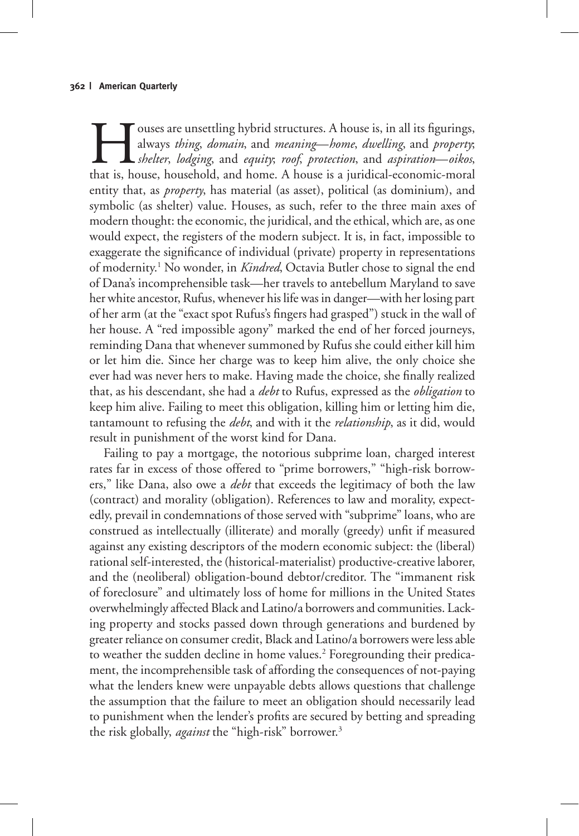The uses are unsettling hybrid structures. A house is, in all its figurings, always *thing, domain*, and *meaning—home, dwelling*, and *property*; *shelter, lodging*, and *equity; roof; protection*, and *aspiration—oikos*, always *thing*, *domain*, and *meaning*—*home*, *dwelling*, and *property*; *shelter*, *lodging*, and *equity*; *roof*, *protection*, and *aspiration*—*oikos*, that is, house, household, and home. A house is a juridical-economic-moral entity that, as *property*, has material (as asset), political (as dominium), and symbolic (as shelter) value. Houses, as such, refer to the three main axes of modern thought: the economic, the juridical, and the ethical, which are, as one would expect, the registers of the modern subject. It is, in fact, impossible to exaggerate the significance of individual (private) property in representations of modernity.1 No wonder, in *Kindred*, Octavia Butler chose to signal the end of Dana's incomprehensible task—her travels to antebellum Maryland to save her white ancestor, Rufus, whenever his life was in danger—with her losing part of her arm (at the "exact spot Rufus's fingers had grasped") stuck in the wall of her house. A "red impossible agony" marked the end of her forced journeys, reminding Dana that whenever summoned by Rufus she could either kill him or let him die. Since her charge was to keep him alive, the only choice she ever had was never hers to make. Having made the choice, she finally realized that, as his descendant, she had a *debt* to Rufus, expressed as the *obligation* to keep him alive. Failing to meet this obligation, killing him or letting him die, tantamount to refusing the *debt*, and with it the *relationship*, as it did, would result in punishment of the worst kind for Dana.

Failing to pay a mortgage, the notorious subprime loan, charged interest rates far in excess of those offered to "prime borrowers," "high-risk borrowers," like Dana, also owe a *debt* that exceeds the legitimacy of both the law (contract) and morality (obligation). References to law and morality, expectedly, prevail in condemnations of those served with "subprime" loans, who are construed as intellectually (illiterate) and morally (greedy) unfit if measured against any existing descriptors of the modern economic subject: the (liberal) rational self-interested, the (historical-materialist) productive-creative laborer, and the (neoliberal) obligation-bound debtor/creditor. The "immanent risk of foreclosure" and ultimately loss of home for millions in the United States overwhelmingly affected Black and Latino/a borrowers and communities. Lacking property and stocks passed down through generations and burdened by greater reliance on consumer credit, Black and Latino/a borrowers were less able to weather the sudden decline in home values.<sup>2</sup> Foregrounding their predicament, the incomprehensible task of affording the consequences of not-paying what the lenders knew were unpayable debts allows questions that challenge the assumption that the failure to meet an obligation should necessarily lead to punishment when the lender's profits are secured by betting and spreading the risk globally, *against* the "high-risk" borrower.<sup>3</sup>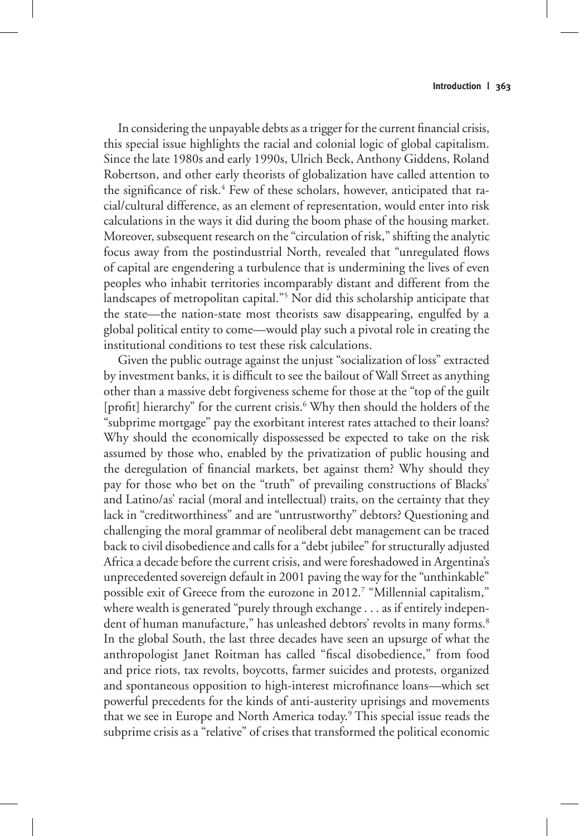In considering the unpayable debts as a trigger for the current financial crisis, this special issue highlights the racial and colonial logic of global capitalism. Since the late 1980s and early 1990s, Ulrich Beck, Anthony Giddens, Roland Robertson, and other early theorists of globalization have called attention to the significance of risk.<sup>4</sup> Few of these scholars, however, anticipated that racial/cultural difference, as an element of representation, would enter into risk calculations in the ways it did during the boom phase of the housing market. Moreover, subsequent research on the "circulation of risk," shifting the analytic focus away from the postindustrial North, revealed that "unregulated flows of capital are engendering a turbulence that is undermining the lives of even peoples who inhabit territories incomparably distant and different from the landscapes of metropolitan capital."5 Nor did this scholarship anticipate that the state—the nation-state most theorists saw disappearing, engulfed by a global political entity to come—would play such a pivotal role in creating the institutional conditions to test these risk calculations.

Given the public outrage against the unjust "socialization of loss" extracted by investment banks, it is difficult to see the bailout of Wall Street as anything other than a massive debt forgiveness scheme for those at the "top of the guilt [profit] hierarchy" for the current crisis.<sup>6</sup> Why then should the holders of the "subprime mortgage" pay the exorbitant interest rates attached to their loans? Why should the economically dispossessed be expected to take on the risk assumed by those who, enabled by the privatization of public housing and the deregulation of financial markets, bet against them? Why should they pay for those who bet on the "truth" of prevailing constructions of Blacks' and Latino/as' racial (moral and intellectual) traits, on the certainty that they lack in "creditworthiness" and are "untrustworthy" debtors? Questioning and challenging the moral grammar of neoliberal debt management can be traced back to civil disobedience and calls for a "debt jubilee" for structurally adjusted Africa a decade before the current crisis, and were foreshadowed in Argentina's unprecedented sovereign default in 2001 paving the way for the "unthinkable" possible exit of Greece from the eurozone in 2012.<sup>7</sup> "Millennial capitalism," where wealth is generated "purely through exchange . . . as if entirely independent of human manufacture," has unleashed debtors' revolts in many forms.<sup>8</sup> In the global South, the last three decades have seen an upsurge of what the anthropologist Janet Roitman has called "fiscal disobedience," from food and price riots, tax revolts, boycotts, farmer suicides and protests, organized and spontaneous opposition to high-interest microfinance loans—which set powerful precedents for the kinds of anti-austerity uprisings and movements that we see in Europe and North America today.9 This special issue reads the subprime crisis as a "relative" of crises that transformed the political economic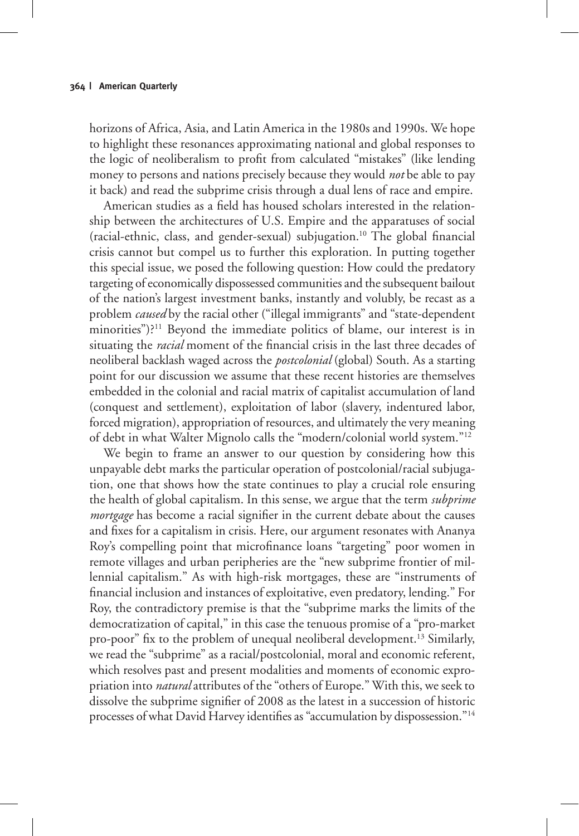horizons of Africa, Asia, and Latin America in the 1980s and 1990s. We hope to highlight these resonances approximating national and global responses to the logic of neoliberalism to profit from calculated "mistakes" (like lending money to persons and nations precisely because they would *not* be able to pay it back) and read the subprime crisis through a dual lens of race and empire.

American studies as a field has housed scholars interested in the relationship between the architectures of U.S. Empire and the apparatuses of social (racial-ethnic, class, and gender-sexual) subjugation.10 The global financial crisis cannot but compel us to further this exploration. In putting together this special issue, we posed the following question: How could the predatory targeting of economically dispossessed communities and the subsequent bailout of the nation's largest investment banks, instantly and volubly, be recast as a problem *caused* by the racial other ("illegal immigrants" and "state-dependent minorities")?<sup>11</sup> Beyond the immediate politics of blame, our interest is in situating the *racial* moment of the financial crisis in the last three decades of neoliberal backlash waged across the *postcolonial* (global) South. As a starting point for our discussion we assume that these recent histories are themselves embedded in the colonial and racial matrix of capitalist accumulation of land (conquest and settlement), exploitation of labor (slavery, indentured labor, forced migration), appropriation of resources, and ultimately the very meaning of debt in what Walter Mignolo calls the "modern/colonial world system."12

We begin to frame an answer to our question by considering how this unpayable debt marks the particular operation of postcolonial/racial subjugation, one that shows how the state continues to play a crucial role ensuring the health of global capitalism. In this sense, we argue that the term *subprime mortgage* has become a racial signifier in the current debate about the causes and fixes for a capitalism in crisis. Here, our argument resonates with Ananya Roy's compelling point that microfinance loans "targeting" poor women in remote villages and urban peripheries are the "new subprime frontier of millennial capitalism." As with high-risk mortgages, these are "instruments of financial inclusion and instances of exploitative, even predatory, lending." For Roy, the contradictory premise is that the "subprime marks the limits of the democratization of capital," in this case the tenuous promise of a "pro-market pro-poor" fix to the problem of unequal neoliberal development.<sup>13</sup> Similarly, we read the "subprime" as a racial/postcolonial, moral and economic referent, which resolves past and present modalities and moments of economic expropriation into *natural* attributes of the "others of Europe." With this, we seek to dissolve the subprime signifier of 2008 as the latest in a succession of historic processes of what David Harvey identifies as "accumulation by dispossession."14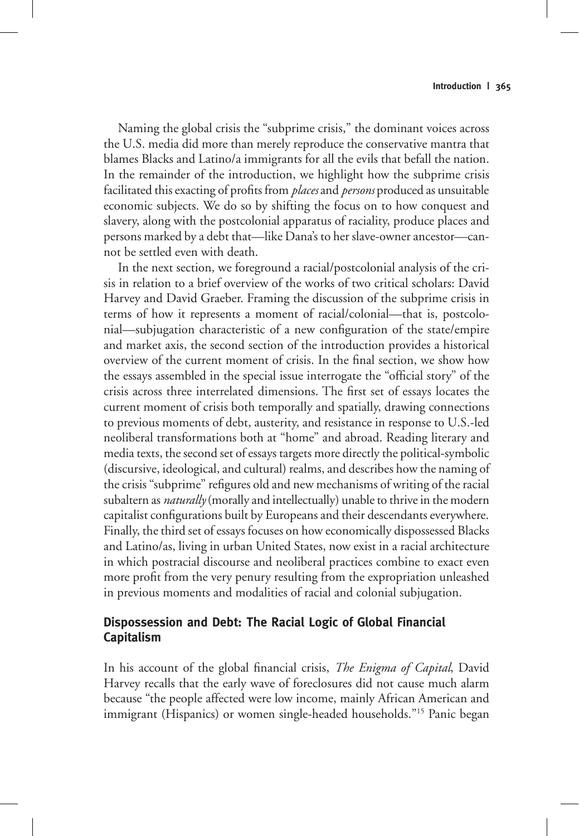Naming the global crisis the "subprime crisis," the dominant voices across the U.S. media did more than merely reproduce the conservative mantra that blames Blacks and Latino/a immigrants for all the evils that befall the nation. In the remainder of the introduction, we highlight how the subprime crisis facilitated this exacting of profits from *places* and *persons* produced as unsuitable economic subjects. We do so by shifting the focus on to how conquest and slavery, along with the postcolonial apparatus of raciality, produce places and persons marked by a debt that—like Dana's to her slave-owner ancestor—cannot be settled even with death.

In the next section, we foreground a racial/postcolonial analysis of the crisis in relation to a brief overview of the works of two critical scholars: David Harvey and David Graeber. Framing the discussion of the subprime crisis in terms of how it represents a moment of racial/colonial—that is, postcolonial—subjugation characteristic of a new configuration of the state/empire and market axis, the second section of the introduction provides a historical overview of the current moment of crisis. In the final section, we show how the essays assembled in the special issue interrogate the "official story" of the crisis across three interrelated dimensions. The first set of essays locates the current moment of crisis both temporally and spatially, drawing connections to previous moments of debt, austerity, and resistance in response to U.S.-led neoliberal transformations both at "home" and abroad. Reading literary and media texts, the second set of essays targets more directly the political-symbolic (discursive, ideological, and cultural) realms, and describes how the naming of the crisis "subprime" refigures old and new mechanisms of writing of the racial subaltern as *naturally* (morally and intellectually) unable to thrive in the modern capitalist configurations built by Europeans and their descendants everywhere. Finally, the third set of essays focuses on how economically dispossessed Blacks and Latino/as, living in urban United States, now exist in a racial architecture in which postracial discourse and neoliberal practices combine to exact even more profit from the very penury resulting from the expropriation unleashed in previous moments and modalities of racial and colonial subjugation.

### **Dispossession and Debt: The Racial Logic of Global Financial Capitalism**

In his account of the global financial crisis, *The Enigma of Capital*, David Harvey recalls that the early wave of foreclosures did not cause much alarm because "the people affected were low income, mainly African American and immigrant (Hispanics) or women single-headed households."15 Panic began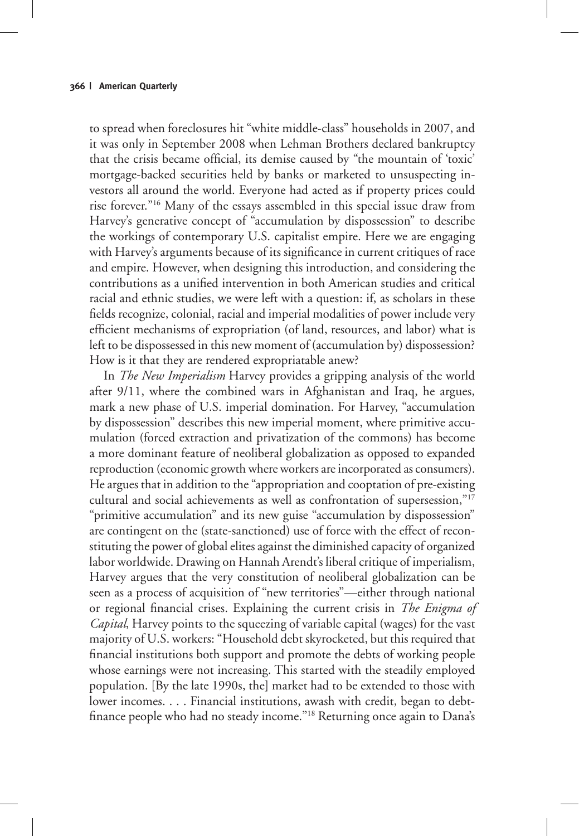to spread when foreclosures hit "white middle-class" households in 2007, and it was only in September 2008 when Lehman Brothers declared bankruptcy that the crisis became official, its demise caused by "the mountain of 'toxic' mortgage-backed securities held by banks or marketed to unsuspecting investors all around the world. Everyone had acted as if property prices could rise forever."16 Many of the essays assembled in this special issue draw from Harvey's generative concept of "accumulation by dispossession" to describe the workings of contemporary U.S. capitalist empire. Here we are engaging with Harvey's arguments because of its significance in current critiques of race and empire. However, when designing this introduction, and considering the contributions as a unified intervention in both American studies and critical racial and ethnic studies, we were left with a question: if, as scholars in these fields recognize, colonial, racial and imperial modalities of power include very efficient mechanisms of expropriation (of land, resources, and labor) what is left to be dispossessed in this new moment of (accumulation by) dispossession? How is it that they are rendered expropriatable anew?

In *The New Imperialism* Harvey provides a gripping analysis of the world after 9/11, where the combined wars in Afghanistan and Iraq, he argues, mark a new phase of U.S. imperial domination. For Harvey, "accumulation by dispossession" describes this new imperial moment, where primitive accumulation (forced extraction and privatization of the commons) has become a more dominant feature of neoliberal globalization as opposed to expanded reproduction (economic growth where workers are incorporated as consumers). He argues that in addition to the "appropriation and cooptation of pre-existing cultural and social achievements as well as confrontation of supersession,"17 "primitive accumulation" and its new guise "accumulation by dispossession" are contingent on the (state-sanctioned) use of force with the effect of reconstituting the power of global elites against the diminished capacity of organized labor worldwide. Drawing on Hannah Arendt's liberal critique of imperialism, Harvey argues that the very constitution of neoliberal globalization can be seen as a process of acquisition of "new territories"—either through national or regional financial crises. Explaining the current crisis in *The Enigma of Capital*, Harvey points to the squeezing of variable capital (wages) for the vast majority of U.S. workers: "Household debt skyrocketed, but this required that financial institutions both support and promote the debts of working people whose earnings were not increasing. This started with the steadily employed population. [By the late 1990s, the] market had to be extended to those with lower incomes. . . . Financial institutions, awash with credit, began to debtfinance people who had no steady income."18 Returning once again to Dana's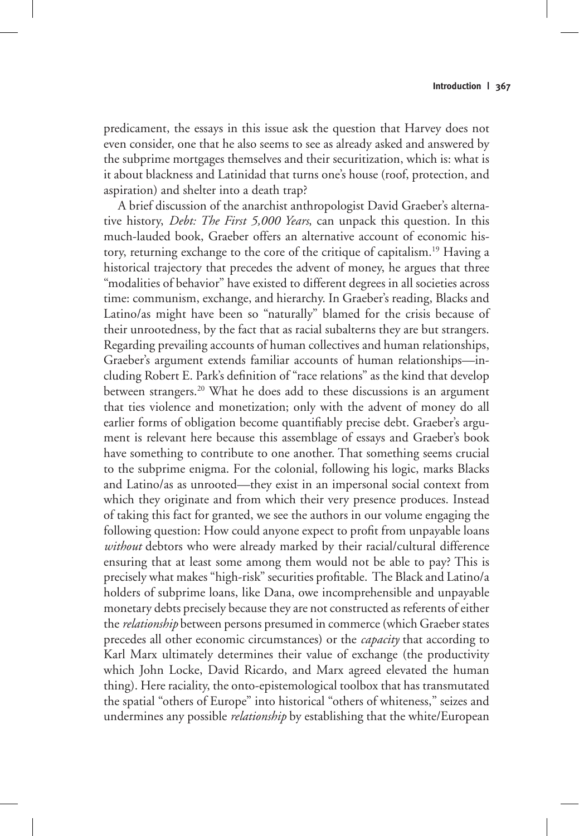predicament, the essays in this issue ask the question that Harvey does not even consider, one that he also seems to see as already asked and answered by the subprime mortgages themselves and their securitization, which is: what is it about blackness and Latinidad that turns one's house (roof, protection, and aspiration) and shelter into a death trap?

A brief discussion of the anarchist anthropologist David Graeber's alternative history, *Debt: The First 5,000 Years*, can unpack this question. In this much-lauded book, Graeber offers an alternative account of economic history, returning exchange to the core of the critique of capitalism.19 Having a historical trajectory that precedes the advent of money, he argues that three "modalities of behavior" have existed to different degrees in all societies across time: communism, exchange, and hierarchy. In Graeber's reading, Blacks and Latino/as might have been so "naturally" blamed for the crisis because of their unrootedness, by the fact that as racial subalterns they are but strangers. Regarding prevailing accounts of human collectives and human relationships, Graeber's argument extends familiar accounts of human relationships—including Robert E. Park's definition of "race relations" as the kind that develop between strangers.<sup>20</sup> What he does add to these discussions is an argument that ties violence and monetization; only with the advent of money do all earlier forms of obligation become quantifiably precise debt. Graeber's argument is relevant here because this assemblage of essays and Graeber's book have something to contribute to one another. That something seems crucial to the subprime enigma. For the colonial, following his logic, marks Blacks and Latino/as as unrooted—they exist in an impersonal social context from which they originate and from which their very presence produces. Instead of taking this fact for granted, we see the authors in our volume engaging the following question: How could anyone expect to profit from unpayable loans *without* debtors who were already marked by their racial/cultural difference ensuring that at least some among them would not be able to pay? This is precisely what makes "high-risk" securities profitable. The Black and Latino/a holders of subprime loans, like Dana, owe incomprehensible and unpayable monetary debts precisely because they are not constructed as referents of either the *relationship* between persons presumed in commerce (which Graeber states precedes all other economic circumstances) or the *capacity* that according to Karl Marx ultimately determines their value of exchange (the productivity which John Locke, David Ricardo, and Marx agreed elevated the human thing). Here raciality, the onto-epistemological toolbox that has transmutated the spatial "others of Europe" into historical "others of whiteness," seizes and undermines any possible *relationship* by establishing that the white/European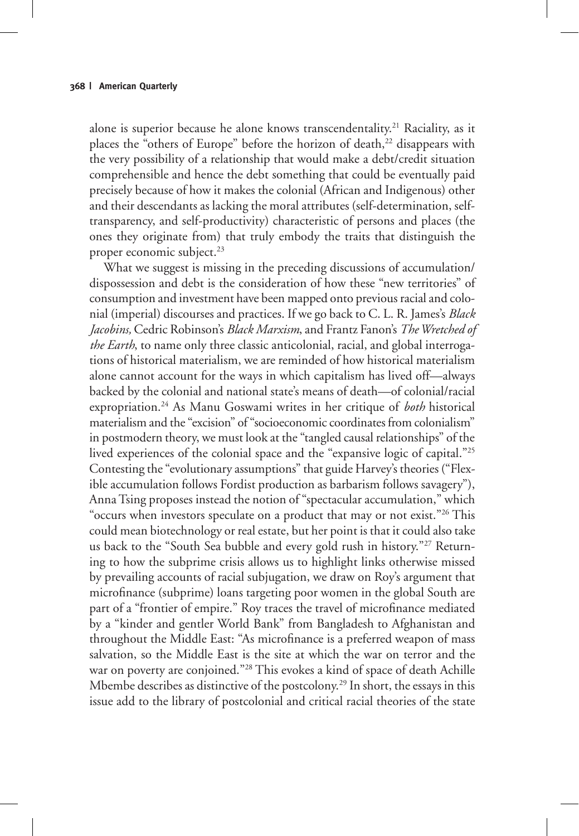alone is superior because he alone knows transcendentality.<sup>21</sup> Raciality, as it places the "others of Europe" before the horizon of death,<sup>22</sup> disappears with the very possibility of a relationship that would make a debt/credit situation comprehensible and hence the debt something that could be eventually paid precisely because of how it makes the colonial (African and Indigenous) other and their descendants as lacking the moral attributes (self-determination, selftransparency, and self-productivity) characteristic of persons and places (the ones they originate from) that truly embody the traits that distinguish the proper economic subject.<sup>23</sup>

What we suggest is missing in the preceding discussions of accumulation/ dispossession and debt is the consideration of how these "new territories" of consumption and investment have been mapped onto previous racial and colonial (imperial) discourses and practices. If we go back to C. L. R. James's *Black Jacobins,* Cedric Robinson's *Black Marxism*, and Frantz Fanon's *The Wretched of the Earth*, to name only three classic anticolonial, racial, and global interrogations of historical materialism, we are reminded of how historical materialism alone cannot account for the ways in which capitalism has lived off—always backed by the colonial and national state's means of death—of colonial/racial expropriation.24 As Manu Goswami writes in her critique of *both* historical materialism and the "excision" of "socioeconomic coordinates from colonialism" in postmodern theory, we must look at the "tangled causal relationships" of the lived experiences of the colonial space and the "expansive logic of capital."25 Contesting the "evolutionary assumptions" that guide Harvey's theories ("Flexible accumulation follows Fordist production as barbarism follows savagery"), Anna Tsing proposes instead the notion of "spectacular accumulation," which "occurs when investors speculate on a product that may or not exist."26 This could mean biotechnology or real estate, but her point is that it could also take us back to the "South Sea bubble and every gold rush in history."27 Returning to how the subprime crisis allows us to highlight links otherwise missed by prevailing accounts of racial subjugation, we draw on Roy's argument that microfinance (subprime) loans targeting poor women in the global South are part of a "frontier of empire." Roy traces the travel of microfinance mediated by a "kinder and gentler World Bank" from Bangladesh to Afghanistan and throughout the Middle East: "As microfinance is a preferred weapon of mass salvation, so the Middle East is the site at which the war on terror and the war on poverty are conjoined."28 This evokes a kind of space of death Achille Mbembe describes as distinctive of the postcolony.<sup>29</sup> In short, the essays in this issue add to the library of postcolonial and critical racial theories of the state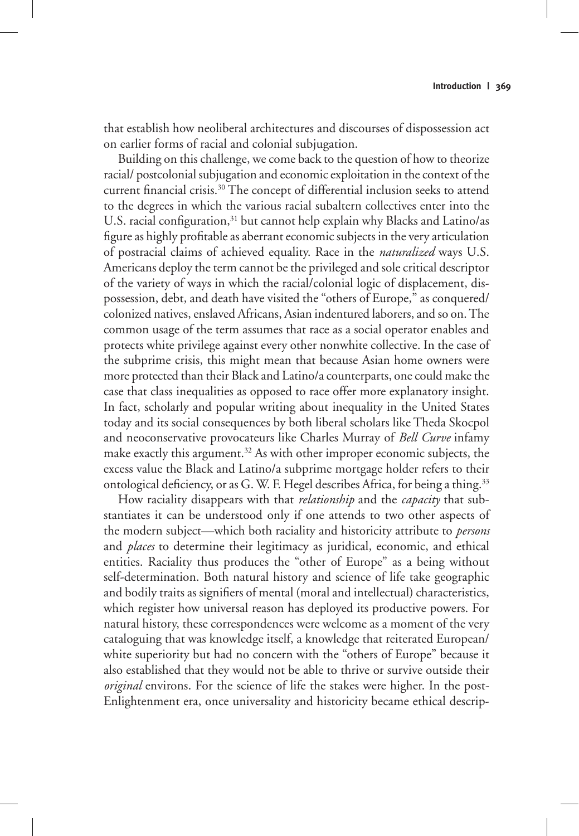that establish how neoliberal architectures and discourses of dispossession act on earlier forms of racial and colonial subjugation.

Building on this challenge, we come back to the question of how to theorize racial/ postcolonial subjugation and economic exploitation in the context of the current financial crisis.30 The concept of differential inclusion seeks to attend to the degrees in which the various racial subaltern collectives enter into the U.S. racial configuration,<sup>31</sup> but cannot help explain why Blacks and Latino/as figure as highly profitable as aberrant economic subjects in the very articulation of postracial claims of achieved equality. Race in the *naturalized* ways U.S. Americans deploy the term cannot be the privileged and sole critical descriptor of the variety of ways in which the racial/colonial logic of displacement, dispossession, debt, and death have visited the "others of Europe," as conquered/ colonized natives, enslaved Africans, Asian indentured laborers, and so on. The common usage of the term assumes that race as a social operator enables and protects white privilege against every other nonwhite collective. In the case of the subprime crisis, this might mean that because Asian home owners were more protected than their Black and Latino/a counterparts, one could make the case that class inequalities as opposed to race offer more explanatory insight. In fact, scholarly and popular writing about inequality in the United States today and its social consequences by both liberal scholars like Theda Skocpol and neoconservative provocateurs like Charles Murray of *Bell Curve* infamy make exactly this argument.<sup>32</sup> As with other improper economic subjects, the excess value the Black and Latino/a subprime mortgage holder refers to their ontological deficiency, or as G. W. F. Hegel describes Africa, for being a thing.<sup>33</sup>

How raciality disappears with that *relationship* and the *capacity* that substantiates it can be understood only if one attends to two other aspects of the modern subject—which both raciality and historicity attribute to *persons* and *places* to determine their legitimacy as juridical, economic, and ethical entities. Raciality thus produces the "other of Europe" as a being without self-determination. Both natural history and science of life take geographic and bodily traits as signifiers of mental (moral and intellectual) characteristics, which register how universal reason has deployed its productive powers. For natural history, these correspondences were welcome as a moment of the very cataloguing that was knowledge itself, a knowledge that reiterated European/ white superiority but had no concern with the "others of Europe" because it also established that they would not be able to thrive or survive outside their *original* environs. For the science of life the stakes were higher. In the post-Enlightenment era, once universality and historicity became ethical descrip-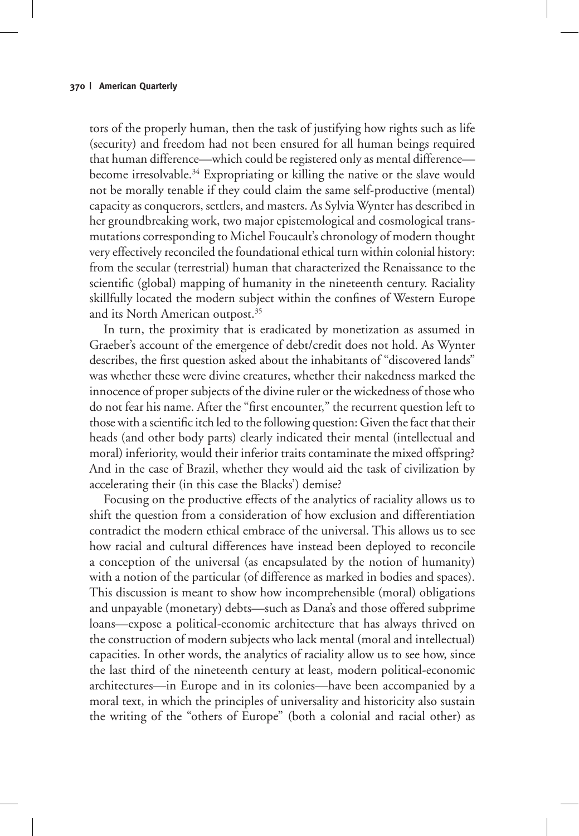tors of the properly human, then the task of justifying how rights such as life (security) and freedom had not been ensured for all human beings required that human difference—which could be registered only as mental difference become irresolvable.<sup>34</sup> Expropriating or killing the native or the slave would not be morally tenable if they could claim the same self-productive (mental) capacity as conquerors, settlers, and masters. As Sylvia Wynter has described in her groundbreaking work, two major epistemological and cosmological transmutations corresponding to Michel Foucault's chronology of modern thought very effectively reconciled the foundational ethical turn within colonial history: from the secular (terrestrial) human that characterized the Renaissance to the scientific (global) mapping of humanity in the nineteenth century. Raciality skillfully located the modern subject within the confines of Western Europe and its North American outpost.<sup>35</sup>

In turn, the proximity that is eradicated by monetization as assumed in Graeber's account of the emergence of debt/credit does not hold. As Wynter describes, the first question asked about the inhabitants of "discovered lands" was whether these were divine creatures, whether their nakedness marked the innocence of proper subjects of the divine ruler or the wickedness of those who do not fear his name. After the "first encounter," the recurrent question left to those with a scientific itch led to the following question: Given the fact that their heads (and other body parts) clearly indicated their mental (intellectual and moral) inferiority, would their inferior traits contaminate the mixed offspring? And in the case of Brazil, whether they would aid the task of civilization by accelerating their (in this case the Blacks') demise?

Focusing on the productive effects of the analytics of raciality allows us to shift the question from a consideration of how exclusion and differentiation contradict the modern ethical embrace of the universal. This allows us to see how racial and cultural differences have instead been deployed to reconcile a conception of the universal (as encapsulated by the notion of humanity) with a notion of the particular (of difference as marked in bodies and spaces). This discussion is meant to show how incomprehensible (moral) obligations and unpayable (monetary) debts—such as Dana's and those offered subprime loans—expose a political-economic architecture that has always thrived on the construction of modern subjects who lack mental (moral and intellectual) capacities. In other words, the analytics of raciality allow us to see how, since the last third of the nineteenth century at least, modern political-economic architectures—in Europe and in its colonies—have been accompanied by a moral text, in which the principles of universality and historicity also sustain the writing of the "others of Europe" (both a colonial and racial other) as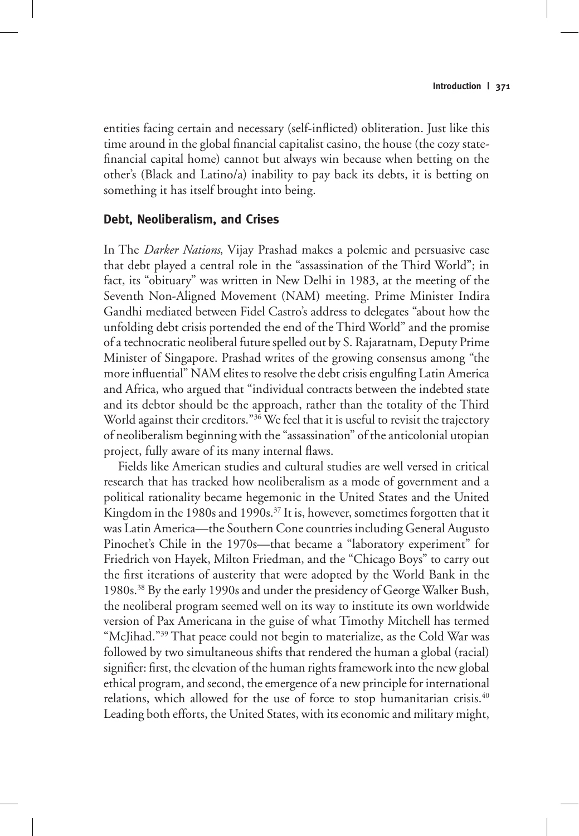entities facing certain and necessary (self-inflicted) obliteration. Just like this time around in the global financial capitalist casino, the house (the cozy statefinancial capital home) cannot but always win because when betting on the other's (Black and Latino/a) inability to pay back its debts, it is betting on something it has itself brought into being.

#### **Debt, Neoliberalism, and Crises**

In The *Darker Nations*, Vijay Prashad makes a polemic and persuasive case that debt played a central role in the "assassination of the Third World"; in fact, its "obituary" was written in New Delhi in 1983, at the meeting of the Seventh Non-Aligned Movement (NAM) meeting. Prime Minister Indira Gandhi mediated between Fidel Castro's address to delegates "about how the unfolding debt crisis portended the end of the Third World" and the promise of a technocratic neoliberal future spelled out by S. Rajaratnam, Deputy Prime Minister of Singapore. Prashad writes of the growing consensus among "the more influential" NAM elites to resolve the debt crisis engulfing Latin America and Africa, who argued that "individual contracts between the indebted state and its debtor should be the approach, rather than the totality of the Third World against their creditors."<sup>36</sup> We feel that it is useful to revisit the trajectory of neoliberalism beginning with the "assassination" of the anticolonial utopian project, fully aware of its many internal flaws.

Fields like American studies and cultural studies are well versed in critical research that has tracked how neoliberalism as a mode of government and a political rationality became hegemonic in the United States and the United Kingdom in the 1980s and 1990s.<sup>37</sup> It is, however, sometimes forgotten that it was Latin America—the Southern Cone countries including General Augusto Pinochet's Chile in the 1970s—that became a "laboratory experiment" for Friedrich von Hayek, Milton Friedman, and the "Chicago Boys" to carry out the first iterations of austerity that were adopted by the World Bank in the 1980s.38 By the early 1990s and under the presidency of George Walker Bush, the neoliberal program seemed well on its way to institute its own worldwide version of Pax Americana in the guise of what Timothy Mitchell has termed "McJihad."<sup>39</sup> That peace could not begin to materialize, as the Cold War was followed by two simultaneous shifts that rendered the human a global (racial) signifier: first, the elevation of the human rights framework into the new global ethical program, and second, the emergence of a new principle for international relations, which allowed for the use of force to stop humanitarian crisis.<sup>40</sup> Leading both efforts, the United States, with its economic and military might,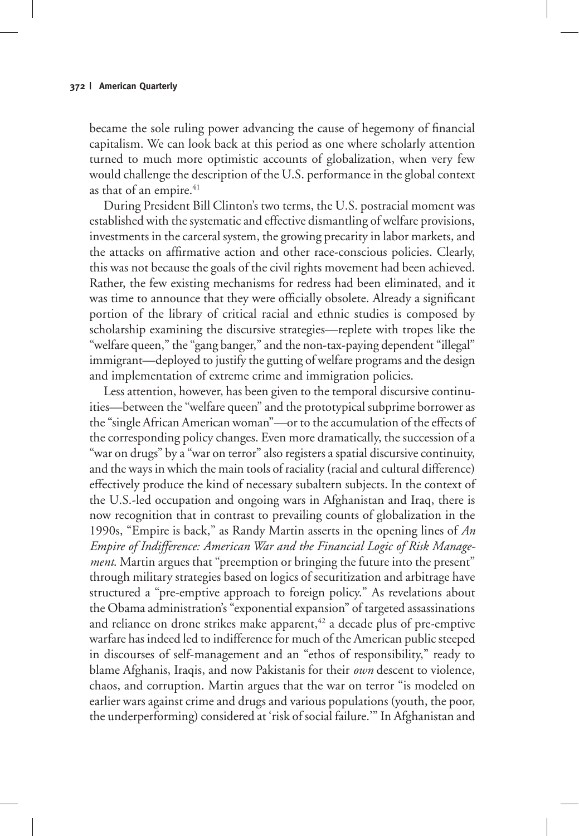became the sole ruling power advancing the cause of hegemony of financial capitalism. We can look back at this period as one where scholarly attention turned to much more optimistic accounts of globalization, when very few would challenge the description of the U.S. performance in the global context as that of an empire. $41$ 

During President Bill Clinton's two terms, the U.S. postracial moment was established with the systematic and effective dismantling of welfare provisions, investments in the carceral system, the growing precarity in labor markets, and the attacks on affirmative action and other race-conscious policies. Clearly, this was not because the goals of the civil rights movement had been achieved. Rather, the few existing mechanisms for redress had been eliminated, and it was time to announce that they were officially obsolete. Already a significant portion of the library of critical racial and ethnic studies is composed by scholarship examining the discursive strategies—replete with tropes like the "welfare queen," the "gang banger," and the non-tax-paying dependent "illegal" immigrant—deployed to justify the gutting of welfare programs and the design and implementation of extreme crime and immigration policies.

Less attention, however, has been given to the temporal discursive continuities—between the "welfare queen" and the prototypical subprime borrower as the "single African American woman"—or to the accumulation of the effects of the corresponding policy changes. Even more dramatically, the succession of a "war on drugs" by a "war on terror" also registers a spatial discursive continuity, and the ways in which the main tools of raciality (racial and cultural difference) effectively produce the kind of necessary subaltern subjects. In the context of the U.S.-led occupation and ongoing wars in Afghanistan and Iraq, there is now recognition that in contrast to prevailing counts of globalization in the 1990s, "Empire is back," as Randy Martin asserts in the opening lines of *An Empire of Indifference: American War and the Financial Logic of Risk Management*. Martin argues that "preemption or bringing the future into the present" through military strategies based on logics of securitization and arbitrage have structured a "pre-emptive approach to foreign policy." As revelations about the Obama administration's "exponential expansion" of targeted assassinations and reliance on drone strikes make apparent, $42$  a decade plus of pre-emptive warfare has indeed led to indifference for much of the American public steeped in discourses of self-management and an "ethos of responsibility," ready to blame Afghanis, Iraqis, and now Pakistanis for their *own* descent to violence, chaos, and corruption. Martin argues that the war on terror "is modeled on earlier wars against crime and drugs and various populations (youth, the poor, the underperforming) considered at 'risk of social failure.'" In Afghanistan and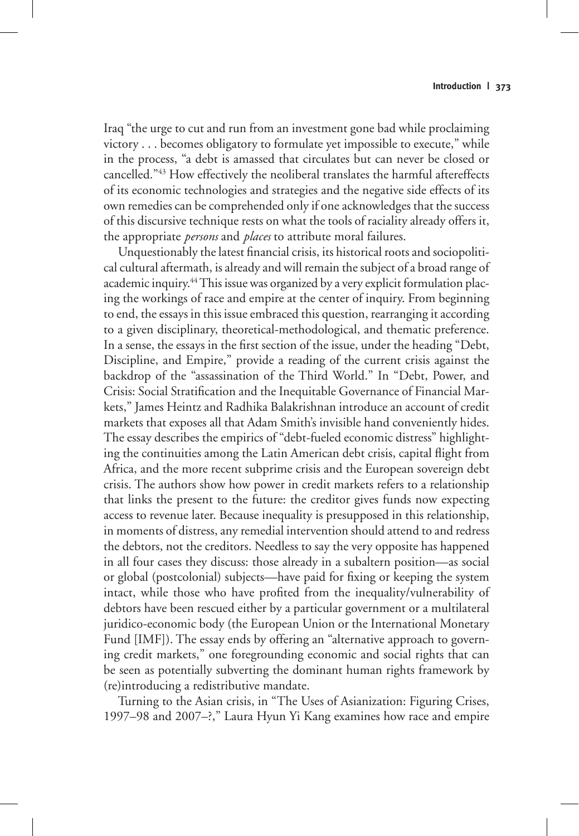Iraq "the urge to cut and run from an investment gone bad while proclaiming victory . . . becomes obligatory to formulate yet impossible to execute," while in the process, "a debt is amassed that circulates but can never be closed or cancelled."43 How effectively the neoliberal translates the harmful aftereffects of its economic technologies and strategies and the negative side effects of its own remedies can be comprehended only if one acknowledges that the success of this discursive technique rests on what the tools of raciality already offers it, the appropriate *persons* and *places* to attribute moral failures.

Unquestionably the latest financial crisis, its historical roots and sociopolitical cultural aftermath, is already and will remain the subject of a broad range of academic inquiry.44 This issue was organized by a very explicit formulation placing the workings of race and empire at the center of inquiry. From beginning to end, the essays in this issue embraced this question, rearranging it according to a given disciplinary, theoretical-methodological, and thematic preference. In a sense, the essays in the first section of the issue, under the heading "Debt, Discipline, and Empire," provide a reading of the current crisis against the backdrop of the "assassination of the Third World." In "Debt, Power, and Crisis: Social Stratification and the Inequitable Governance of Financial Markets," James Heintz and Radhika Balakrishnan introduce an account of credit markets that exposes all that Adam Smith's invisible hand conveniently hides. The essay describes the empirics of "debt-fueled economic distress" highlighting the continuities among the Latin American debt crisis, capital flight from Africa, and the more recent subprime crisis and the European sovereign debt crisis. The authors show how power in credit markets refers to a relationship that links the present to the future: the creditor gives funds now expecting access to revenue later. Because inequality is presupposed in this relationship, in moments of distress, any remedial intervention should attend to and redress the debtors, not the creditors. Needless to say the very opposite has happened in all four cases they discuss: those already in a subaltern position—as social or global (postcolonial) subjects—have paid for fixing or keeping the system intact, while those who have profited from the inequality/vulnerability of debtors have been rescued either by a particular government or a multilateral juridico-economic body (the European Union or the International Monetary Fund [IMF]). The essay ends by offering an "alternative approach to governing credit markets," one foregrounding economic and social rights that can be seen as potentially subverting the dominant human rights framework by (re)introducing a redistributive mandate.

Turning to the Asian crisis, in "The Uses of Asianization: Figuring Crises, 1997–98 and 2007–?," Laura Hyun Yi Kang examines how race and empire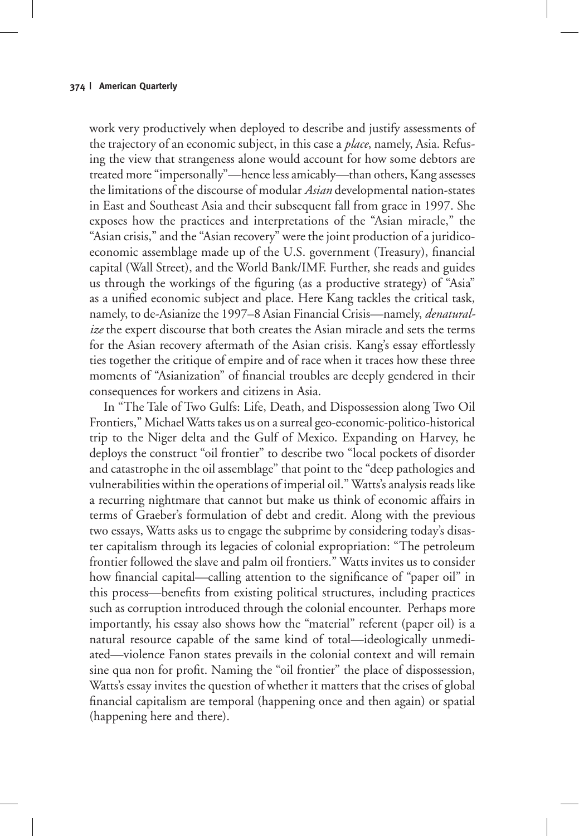work very productively when deployed to describe and justify assessments of the trajectory of an economic subject, in this case a *place*, namely, Asia. Refusing the view that strangeness alone would account for how some debtors are treated more "impersonally"—hence less amicably—than others, Kang assesses the limitations of the discourse of modular *Asian* developmental nation-states in East and Southeast Asia and their subsequent fall from grace in 1997. She exposes how the practices and interpretations of the "Asian miracle," the "Asian crisis," and the "Asian recovery" were the joint production of a juridicoeconomic assemblage made up of the U.S. government (Treasury), financial capital (Wall Street), and the World Bank/IMF. Further, she reads and guides us through the workings of the figuring (as a productive strategy) of "Asia" as a unified economic subject and place. Here Kang tackles the critical task, namely, to de-Asianize the 1997–8 Asian Financial Crisis—namely, *denaturalize* the expert discourse that both creates the Asian miracle and sets the terms for the Asian recovery aftermath of the Asian crisis. Kang's essay effortlessly ties together the critique of empire and of race when it traces how these three moments of "Asianization" of financial troubles are deeply gendered in their consequences for workers and citizens in Asia.

In "The Tale of Two Gulfs: Life, Death, and Dispossession along Two Oil Frontiers," Michael Watts takes us on a surreal geo-economic-politico-historical trip to the Niger delta and the Gulf of Mexico. Expanding on Harvey, he deploys the construct "oil frontier" to describe two "local pockets of disorder and catastrophe in the oil assemblage" that point to the "deep pathologies and vulnerabilities within the operations of imperial oil." Watts's analysis reads like a recurring nightmare that cannot but make us think of economic affairs in terms of Graeber's formulation of debt and credit. Along with the previous two essays, Watts asks us to engage the subprime by considering today's disaster capitalism through its legacies of colonial expropriation: "The petroleum frontier followed the slave and palm oil frontiers." Watts invites us to consider how financial capital—calling attention to the significance of "paper oil" in this process—benefits from existing political structures, including practices such as corruption introduced through the colonial encounter. Perhaps more importantly, his essay also shows how the "material" referent (paper oil) is a natural resource capable of the same kind of total—ideologically unmediated—violence Fanon states prevails in the colonial context and will remain sine qua non for profit. Naming the "oil frontier" the place of dispossession, Watts's essay invites the question of whether it matters that the crises of global financial capitalism are temporal (happening once and then again) or spatial (happening here and there).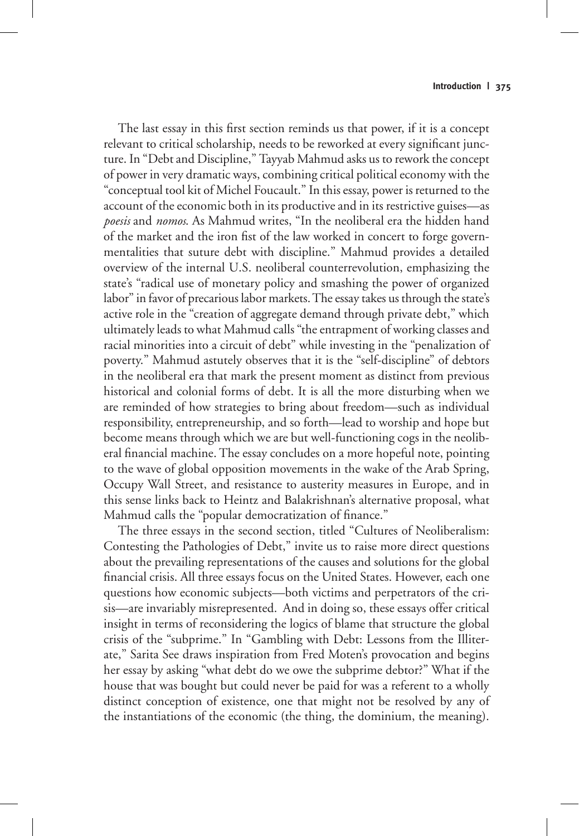The last essay in this first section reminds us that power, if it is a concept relevant to critical scholarship, needs to be reworked at every significant juncture. In "Debt and Discipline," Tayyab Mahmud asks us to rework the concept of power in very dramatic ways, combining critical political economy with the "conceptual tool kit of Michel Foucault." In this essay, power is returned to the account of the economic both in its productive and in its restrictive guises—as *poesis* and *nomos*. As Mahmud writes, "In the neoliberal era the hidden hand of the market and the iron fist of the law worked in concert to forge governmentalities that suture debt with discipline." Mahmud provides a detailed overview of the internal U.S. neoliberal counterrevolution, emphasizing the state's "radical use of monetary policy and smashing the power of organized labor" in favor of precarious labor markets. The essay takes us through the state's active role in the "creation of aggregate demand through private debt," which ultimately leads to what Mahmud calls "the entrapment of working classes and racial minorities into a circuit of debt" while investing in the "penalization of poverty." Mahmud astutely observes that it is the "self-discipline" of debtors in the neoliberal era that mark the present moment as distinct from previous historical and colonial forms of debt. It is all the more disturbing when we are reminded of how strategies to bring about freedom—such as individual responsibility, entrepreneurship, and so forth—lead to worship and hope but become means through which we are but well-functioning cogs in the neoliberal financial machine. The essay concludes on a more hopeful note, pointing to the wave of global opposition movements in the wake of the Arab Spring, Occupy Wall Street, and resistance to austerity measures in Europe, and in this sense links back to Heintz and Balakrishnan's alternative proposal, what Mahmud calls the "popular democratization of finance."

The three essays in the second section, titled "Cultures of Neoliberalism: Contesting the Pathologies of Debt," invite us to raise more direct questions about the prevailing representations of the causes and solutions for the global financial crisis. All three essays focus on the United States. However, each one questions how economic subjects—both victims and perpetrators of the crisis—are invariably misrepresented. And in doing so, these essays offer critical insight in terms of reconsidering the logics of blame that structure the global crisis of the "subprime." In "Gambling with Debt: Lessons from the Illiterate," Sarita See draws inspiration from Fred Moten's provocation and begins her essay by asking "what debt do we owe the subprime debtor?" What if the house that was bought but could never be paid for was a referent to a wholly distinct conception of existence, one that might not be resolved by any of the instantiations of the economic (the thing, the dominium, the meaning).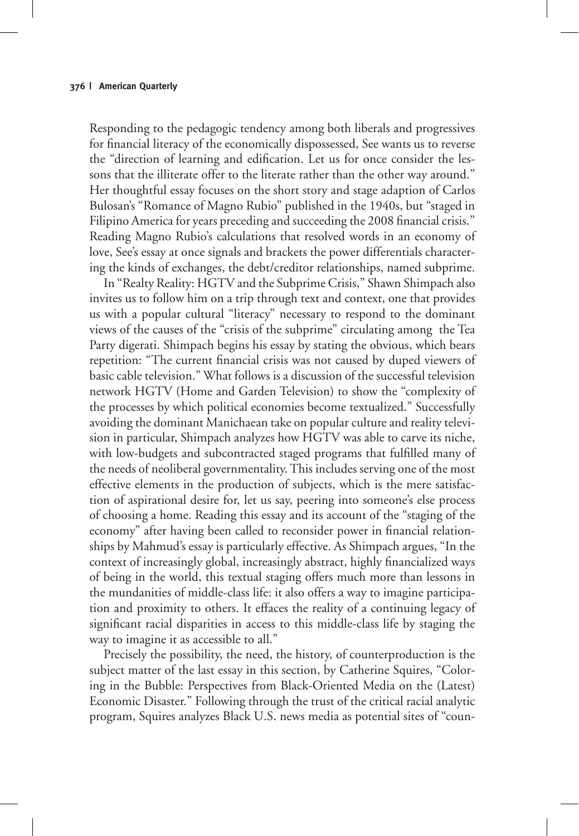Responding to the pedagogic tendency among both liberals and progressives for financial literacy of the economically dispossessed, See wants us to reverse the "direction of learning and edification. Let us for once consider the lessons that the illiterate offer to the literate rather than the other way around." Her thoughtful essay focuses on the short story and stage adaption of Carlos Bulosan's "Romance of Magno Rubio" published in the 1940s, but "staged in Filipino America for years preceding and succeeding the 2008 financial crisis." Reading Magno Rubio's calculations that resolved words in an economy of love, See's essay at once signals and brackets the power differentials charactering the kinds of exchanges, the debt/creditor relationships, named subprime.

In "Realty Reality: HGTV and the Subprime Crisis," Shawn Shimpach also invites us to follow him on a trip through text and context, one that provides us with a popular cultural "literacy" necessary to respond to the dominant views of the causes of the "crisis of the subprime" circulating among the Tea Party digerati. Shimpach begins his essay by stating the obvious, which bears repetition: "The current financial crisis was not caused by duped viewers of basic cable television." What follows is a discussion of the successful television network HGTV (Home and Garden Television) to show the "complexity of the processes by which political economies become textualized." Successfully avoiding the dominant Manichaean take on popular culture and reality television in particular, Shimpach analyzes how HGTV was able to carve its niche, with low-budgets and subcontracted staged programs that fulfilled many of the needs of neoliberal governmentality. This includes serving one of the most effective elements in the production of subjects, which is the mere satisfaction of aspirational desire for, let us say, peering into someone's else process of choosing a home. Reading this essay and its account of the "staging of the economy" after having been called to reconsider power in financial relationships by Mahmud's essay is particularly effective. As Shimpach argues, "In the context of increasingly global, increasingly abstract, highly financialized ways of being in the world, this textual staging offers much more than lessons in the mundanities of middle-class life: it also offers a way to imagine participation and proximity to others. It effaces the reality of a continuing legacy of significant racial disparities in access to this middle-class life by staging the way to imagine it as accessible to all."

Precisely the possibility, the need, the history, of counterproduction is the subject matter of the last essay in this section, by Catherine Squires, "Coloring in the Bubble: Perspectives from Black-Oriented Media on the (Latest) Economic Disaster." Following through the trust of the critical racial analytic program, Squires analyzes Black U.S. news media as potential sites of "coun-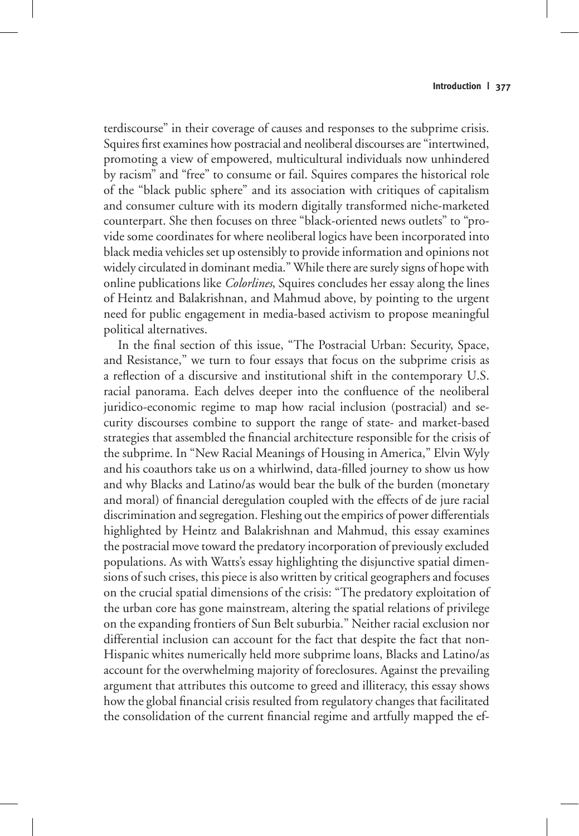terdiscourse" in their coverage of causes and responses to the subprime crisis. Squires first examines how postracial and neoliberal discourses are "intertwined, promoting a view of empowered, multicultural individuals now unhindered by racism" and "free" to consume or fail. Squires compares the historical role of the "black public sphere" and its association with critiques of capitalism and consumer culture with its modern digitally transformed niche-marketed counterpart. She then focuses on three "black-oriented news outlets" to "provide some coordinates for where neoliberal logics have been incorporated into black media vehicles set up ostensibly to provide information and opinions not widely circulated in dominant media." While there are surely signs of hope with online publications like *Colorlines*, Squires concludes her essay along the lines of Heintz and Balakrishnan, and Mahmud above, by pointing to the urgent need for public engagement in media-based activism to propose meaningful political alternatives.

In the final section of this issue, "The Postracial Urban: Security, Space, and Resistance," we turn to four essays that focus on the subprime crisis as a reflection of a discursive and institutional shift in the contemporary U.S. racial panorama. Each delves deeper into the confluence of the neoliberal juridico-economic regime to map how racial inclusion (postracial) and security discourses combine to support the range of state- and market-based strategies that assembled the financial architecture responsible for the crisis of the subprime. In "New Racial Meanings of Housing in America," Elvin Wyly and his coauthors take us on a whirlwind, data-filled journey to show us how and why Blacks and Latino/as would bear the bulk of the burden (monetary and moral) of financial deregulation coupled with the effects of de jure racial discrimination and segregation. Fleshing out the empirics of power differentials highlighted by Heintz and Balakrishnan and Mahmud, this essay examines the postracial move toward the predatory incorporation of previously excluded populations. As with Watts's essay highlighting the disjunctive spatial dimensions of such crises, this piece is also written by critical geographers and focuses on the crucial spatial dimensions of the crisis: "The predatory exploitation of the urban core has gone mainstream, altering the spatial relations of privilege on the expanding frontiers of Sun Belt suburbia." Neither racial exclusion nor differential inclusion can account for the fact that despite the fact that non-Hispanic whites numerically held more subprime loans, Blacks and Latino/as account for the overwhelming majority of foreclosures. Against the prevailing argument that attributes this outcome to greed and illiteracy, this essay shows how the global financial crisis resulted from regulatory changes that facilitated the consolidation of the current financial regime and artfully mapped the ef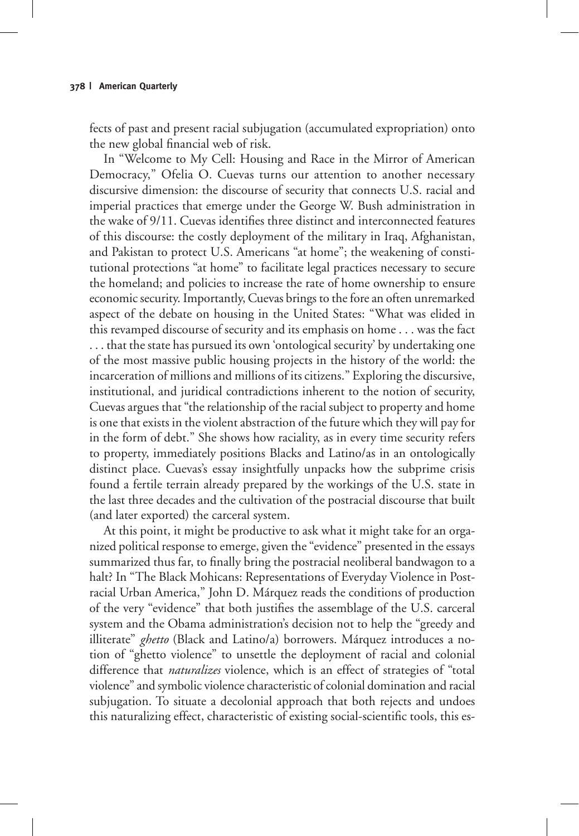fects of past and present racial subjugation (accumulated expropriation) onto the new global financial web of risk.

In "Welcome to My Cell: Housing and Race in the Mirror of American Democracy," Ofelia O. Cuevas turns our attention to another necessary discursive dimension: the discourse of security that connects U.S. racial and imperial practices that emerge under the George W. Bush administration in the wake of 9/11. Cuevas identifies three distinct and interconnected features of this discourse: the costly deployment of the military in Iraq, Afghanistan, and Pakistan to protect U.S. Americans "at home"; the weakening of constitutional protections "at home" to facilitate legal practices necessary to secure the homeland; and policies to increase the rate of home ownership to ensure economic security. Importantly, Cuevas brings to the fore an often unremarked aspect of the debate on housing in the United States: "What was elided in this revamped discourse of security and its emphasis on home . . . was the fact . . . that the state has pursued its own 'ontological security' by undertaking one of the most massive public housing projects in the history of the world: the incarceration of millions and millions of its citizens." Exploring the discursive, institutional, and juridical contradictions inherent to the notion of security, Cuevas argues that "the relationship of the racial subject to property and home is one that exists in the violent abstraction of the future which they will pay for in the form of debt." She shows how raciality, as in every time security refers to property, immediately positions Blacks and Latino/as in an ontologically distinct place. Cuevas's essay insightfully unpacks how the subprime crisis found a fertile terrain already prepared by the workings of the U.S. state in the last three decades and the cultivation of the postracial discourse that built (and later exported) the carceral system.

At this point, it might be productive to ask what it might take for an organized political response to emerge, given the "evidence" presented in the essays summarized thus far, to finally bring the postracial neoliberal bandwagon to a halt? In "The Black Mohicans: Representations of Everyday Violence in Postracial Urban America," John D. Márquez reads the conditions of production of the very "evidence" that both justifies the assemblage of the U.S. carceral system and the Obama administration's decision not to help the "greedy and illiterate" *ghetto* (Black and Latino/a) borrowers. Márquez introduces a notion of "ghetto violence" to unsettle the deployment of racial and colonial difference that *naturalizes* violence, which is an effect of strategies of "total violence" and symbolic violence characteristic of colonial domination and racial subjugation. To situate a decolonial approach that both rejects and undoes this naturalizing effect, characteristic of existing social-scientific tools, this es-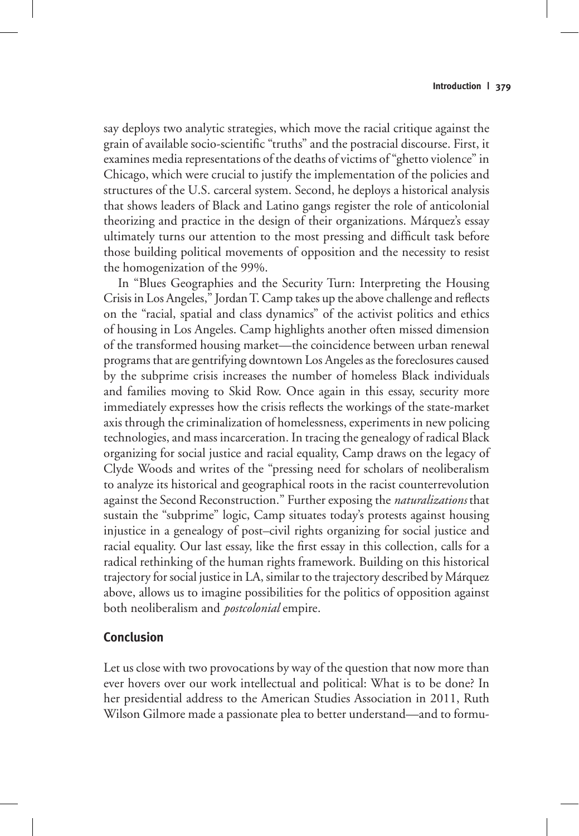say deploys two analytic strategies, which move the racial critique against the grain of available socio-scientific "truths" and the postracial discourse. First, it examines media representations of the deaths of victims of "ghetto violence" in Chicago, which were crucial to justify the implementation of the policies and structures of the U.S. carceral system. Second, he deploys a historical analysis that shows leaders of Black and Latino gangs register the role of anticolonial theorizing and practice in the design of their organizations. Márquez's essay ultimately turns our attention to the most pressing and difficult task before those building political movements of opposition and the necessity to resist the homogenization of the 99%.

In "Blues Geographies and the Security Turn: Interpreting the Housing Crisis in Los Angeles," Jordan T. Camp takes up the above challenge and reflects on the "racial, spatial and class dynamics" of the activist politics and ethics of housing in Los Angeles. Camp highlights another often missed dimension of the transformed housing market—the coincidence between urban renewal programs that are gentrifying downtown Los Angeles as the foreclosures caused by the subprime crisis increases the number of homeless Black individuals and families moving to Skid Row. Once again in this essay, security more immediately expresses how the crisis reflects the workings of the state-market axis through the criminalization of homelessness, experiments in new policing technologies, and mass incarceration. In tracing the genealogy of radical Black organizing for social justice and racial equality, Camp draws on the legacy of Clyde Woods and writes of the "pressing need for scholars of neoliberalism to analyze its historical and geographical roots in the racist counterrevolution against the Second Reconstruction." Further exposing the *naturalizations* that sustain the "subprime" logic, Camp situates today's protests against housing injustice in a genealogy of post–civil rights organizing for social justice and racial equality. Our last essay, like the first essay in this collection, calls for a radical rethinking of the human rights framework. Building on this historical trajectory for social justice in LA, similar to the trajectory described by Márquez above, allows us to imagine possibilities for the politics of opposition against both neoliberalism and *postcolonial* empire.

#### **Conclusion**

Let us close with two provocations by way of the question that now more than ever hovers over our work intellectual and political: What is to be done? In her presidential address to the American Studies Association in 2011, Ruth Wilson Gilmore made a passionate plea to better understand—and to formu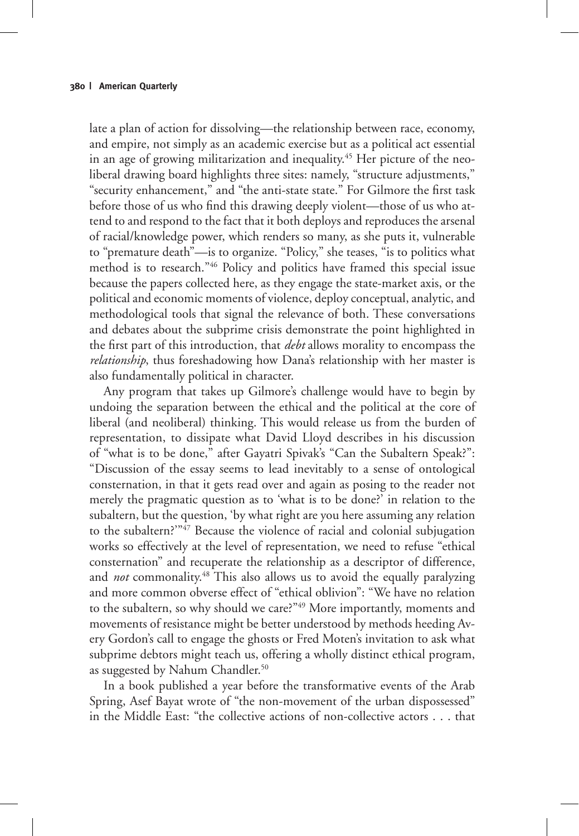late a plan of action for dissolving—the relationship between race, economy, and empire, not simply as an academic exercise but as a political act essential in an age of growing militarization and inequality.<sup>45</sup> Her picture of the neoliberal drawing board highlights three sites: namely, "structure adjustments," "security enhancement," and "the anti-state state." For Gilmore the first task before those of us who find this drawing deeply violent—those of us who attend to and respond to the fact that it both deploys and reproduces the arsenal of racial/knowledge power, which renders so many, as she puts it, vulnerable to "premature death"—is to organize. "Policy," she teases, "is to politics what method is to research."46 Policy and politics have framed this special issue because the papers collected here, as they engage the state-market axis, or the political and economic moments of violence, deploy conceptual, analytic, and methodological tools that signal the relevance of both. These conversations and debates about the subprime crisis demonstrate the point highlighted in the first part of this introduction, that *debt* allows morality to encompass the *relationship*, thus foreshadowing how Dana's relationship with her master is also fundamentally political in character.

Any program that takes up Gilmore's challenge would have to begin by undoing the separation between the ethical and the political at the core of liberal (and neoliberal) thinking. This would release us from the burden of representation, to dissipate what David Lloyd describes in his discussion of "what is to be done," after Gayatri Spivak's "Can the Subaltern Speak?": "Discussion of the essay seems to lead inevitably to a sense of ontological consternation, in that it gets read over and again as posing to the reader not merely the pragmatic question as to 'what is to be done?' in relation to the subaltern, but the question, 'by what right are you here assuming any relation to the subaltern?'"47 Because the violence of racial and colonial subjugation works so effectively at the level of representation, we need to refuse "ethical consternation" and recuperate the relationship as a descriptor of difference, and *not* commonality.<sup>48</sup> This also allows us to avoid the equally paralyzing and more common obverse effect of "ethical oblivion": "We have no relation to the subaltern, so why should we care?"<sup>49</sup> More importantly, moments and movements of resistance might be better understood by methods heeding Avery Gordon's call to engage the ghosts or Fred Moten's invitation to ask what subprime debtors might teach us, offering a wholly distinct ethical program, as suggested by Nahum Chandler.<sup>50</sup>

In a book published a year before the transformative events of the Arab Spring, Asef Bayat wrote of "the non-movement of the urban dispossessed" in the Middle East: "the collective actions of non-collective actors . . . that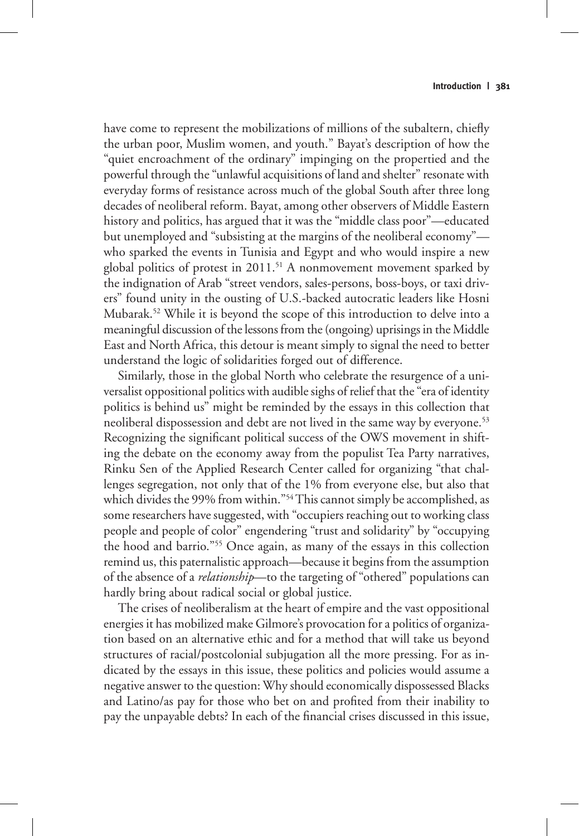have come to represent the mobilizations of millions of the subaltern, chiefly the urban poor, Muslim women, and youth." Bayat's description of how the "quiet encroachment of the ordinary" impinging on the propertied and the powerful through the "unlawful acquisitions of land and shelter" resonate with everyday forms of resistance across much of the global South after three long decades of neoliberal reform. Bayat, among other observers of Middle Eastern history and politics, has argued that it was the "middle class poor"—educated but unemployed and "subsisting at the margins of the neoliberal economy" who sparked the events in Tunisia and Egypt and who would inspire a new global politics of protest in 2011.<sup>51</sup> A nonmovement movement sparked by the indignation of Arab "street vendors, sales-persons, boss-boys, or taxi drivers" found unity in the ousting of U.S.-backed autocratic leaders like Hosni Mubarak.52 While it is beyond the scope of this introduction to delve into a meaningful discussion of the lessons from the (ongoing) uprisings in the Middle East and North Africa, this detour is meant simply to signal the need to better understand the logic of solidarities forged out of difference.

Similarly, those in the global North who celebrate the resurgence of a universalist oppositional politics with audible sighs of relief that the "era of identity politics is behind us" might be reminded by the essays in this collection that neoliberal dispossession and debt are not lived in the same way by everyone.<sup>53</sup> Recognizing the significant political success of the OWS movement in shifting the debate on the economy away from the populist Tea Party narratives, Rinku Sen of the Applied Research Center called for organizing "that challenges segregation, not only that of the 1% from everyone else, but also that which divides the 99% from within."<sup>54</sup> This cannot simply be accomplished, as some researchers have suggested, with "occupiers reaching out to working class people and people of color" engendering "trust and solidarity" by "occupying the hood and barrio."55 Once again, as many of the essays in this collection remind us, this paternalistic approach—because it begins from the assumption of the absence of a *relationship*—to the targeting of "othered" populations can hardly bring about radical social or global justice.

The crises of neoliberalism at the heart of empire and the vast oppositional energies it has mobilized make Gilmore's provocation for a politics of organization based on an alternative ethic and for a method that will take us beyond structures of racial/postcolonial subjugation all the more pressing. For as indicated by the essays in this issue, these politics and policies would assume a negative answer to the question: Why should economically dispossessed Blacks and Latino/as pay for those who bet on and profited from their inability to pay the unpayable debts? In each of the financial crises discussed in this issue,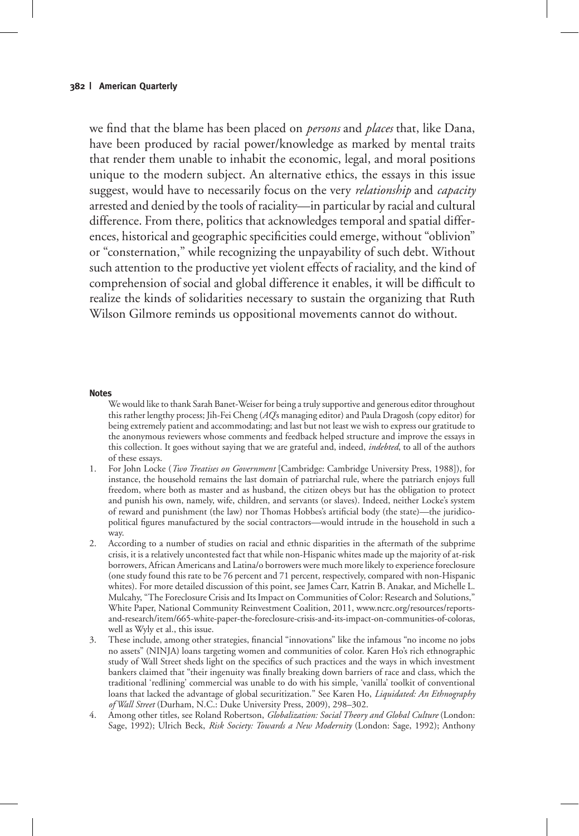we find that the blame has been placed on *persons* and *places* that, like Dana, have been produced by racial power/knowledge as marked by mental traits that render them unable to inhabit the economic, legal, and moral positions unique to the modern subject. An alternative ethics, the essays in this issue suggest, would have to necessarily focus on the very *relationship* and *capacity* arrested and denied by the tools of raciality—in particular by racial and cultural difference. From there, politics that acknowledges temporal and spatial differences, historical and geographic specificities could emerge, without "oblivion" or "consternation," while recognizing the unpayability of such debt. Without such attention to the productive yet violent effects of raciality, and the kind of comprehension of social and global difference it enables, it will be difficult to realize the kinds of solidarities necessary to sustain the organizing that Ruth Wilson Gilmore reminds us oppositional movements cannot do without.

#### **Notes**

We would like to thank Sarah Banet-Weiser for being a truly supportive and generous editor throughout this rather lengthy process; Jih-Fei Cheng (*AQ*'s managing editor) and Paula Dragosh (copy editor) for being extremely patient and accommodating; and last but not least we wish to express our gratitude to the anonymous reviewers whose comments and feedback helped structure and improve the essays in this collection. It goes without saying that we are grateful and, indeed, *indebted*, to all of the authors of these essays.

- 1. For John Locke (*Two Treatises on Government* [Cambridge: Cambridge University Press, 1988]), for instance, the household remains the last domain of patriarchal rule, where the patriarch enjoys full freedom, where both as master and as husband, the citizen obeys but has the obligation to protect and punish his own, namely, wife, children, and servants (or slaves). Indeed, neither Locke's system of reward and punishment (the law) nor Thomas Hobbes's artificial body (the state)—the juridicopolitical figures manufactured by the social contractors—would intrude in the household in such a way.
- 2. According to a number of studies on racial and ethnic disparities in the aftermath of the subprime crisis, it is a relatively uncontested fact that while non-Hispanic whites made up the majority of at-risk borrowers, African Americans and Latina/o borrowers were much more likely to experience foreclosure (one study found this rate to be 76 percent and 71 percent, respectively, compared with non-Hispanic whites). For more detailed discussion of this point, see James Carr, Katrin B. Anakar, and Michelle L. Mulcahy, "The Foreclosure Crisis and Its Impact on Communities of Color: Research and Solutions," White Paper, National Community Reinvestment Coalition, 2011, www.ncrc.org/resources/reportsand-research/item/665-white-paper-the-foreclosure-crisis-and-its-impact-on-communities-of-coloras, well as Wyly et al., this issue.
- 3. These include, among other strategies, financial "innovations" like the infamous "no income no jobs no assets" (NINJA) loans targeting women and communities of color. Karen Ho's rich ethnographic study of Wall Street sheds light on the specifics of such practices and the ways in which investment bankers claimed that "their ingenuity was finally breaking down barriers of race and class, which the traditional 'redlining' commercial was unable to do with his simple, 'vanilla' toolkit of conventional loans that lacked the advantage of global securitization." See Karen Ho, *Liquidated: An Ethnography of Wall Street* (Durham, N.C.: Duke University Press, 2009), 298–302.
- 4. Among other titles, see Roland Robertson, *Globalization: Social Theory and Global Culture* (London: Sage, 1992); Ulrich Beck, *Risk Society: Towards a New Modernity* (London: Sage, 1992); Anthony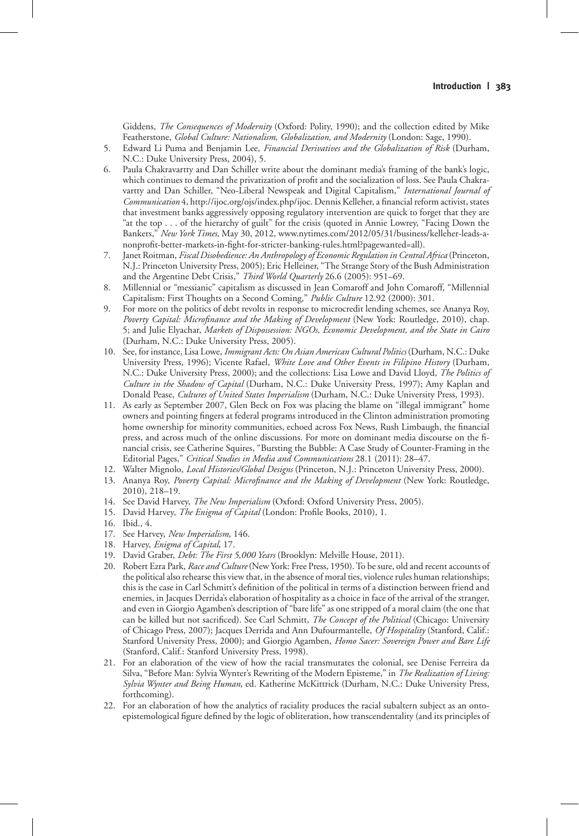Giddens, *The Consequences of Modernity* (Oxford: Polity, 1990); and the collection edited by Mike Featherstone, *Global Culture: Nationalism, Globalization, and Modernity* (London: Sage, 1990).

- 5. Edward Li Puma and Benjamin Lee, *Financial Derivatives and the Globalization of Risk* (Durham, N.C.: Duke University Press, 2004), 5.
- 6. Paula Chakravartty and Dan Schiller write about the dominant media's framing of the bank's logic, which continues to demand the privatization of profit and the socialization of loss. See Paula Chakravartty and Dan Schiller, "Neo-Liberal Newspeak and Digital Capitalism," *International Journal of Communication* 4, http://ijoc.org/ojs/index.php/ijoc. Dennis Kelleher, a financial reform activist, states that investment banks aggressively opposing regulatory intervention are quick to forget that they are "at the top . . . of the hierarchy of guilt" for the crisis (quoted in Annie Lowrey, "Facing Down the Bankers," *New York Times*, May 30, 2012, www.nytimes.com/2012/05/31/business/kelleher-leads-anonprofit-better-markets-in-fight-for-stricter-banking-rules.html?pagewanted=all).
- 7. Janet Roitman, *Fiscal Disobedience: An Anthropology of Economic Regulation in Central Africa* (Princeton, N.J.: Princeton University Press, 2005); Eric Helleiner, "The Strange Story of the Bush Administration and the Argentine Debt Crisis," *Third World Quarterly* 26.6 (2005): 951–69.
- 8. Millennial or "messianic" capitalism as discussed in Jean Comaroff and John Comaroff, "Millennial Capitalism: First Thoughts on a Second Coming," *Public Culture* 12.92 (2000): 301.
- 9. For more on the politics of debt revolts in response to microcredit lending schemes, see Ananya Roy, *Poverty Capital: Microfinance and the Making of Development* (New York: Routledge, 2010), chap. 5; and Julie Elyachar, *Markets of Dispossession: NGOs, Economic Development, and the State in Cairo* (Durham, N.C.: Duke University Press, 2005).
- 10. See, for instance, Lisa Lowe, *Immigrant Acts: On Asian American Cultural Politics* (Durham, N.C.: Duke University Press, 1996); Vicente Rafael, *White Love and Other Events in Filipino History* (Durham, N.C.: Duke University Press, 2000); and the collections: Lisa Lowe and David Lloyd, *The Politics of Culture in the Shadow of Capital* (Durham, N.C.: Duke University Press, 1997); Amy Kaplan and Donald Pease, *Cultures of United States Imperialism* (Durham, N.C.: Duke University Press, 1993).
- 11. As early as September 2007, Glen Beck on Fox was placing the blame on "illegal immigrant" home owners and pointing fingers at federal programs introduced in the Clinton administration promoting home ownership for minority communities, echoed across Fox News, Rush Limbaugh, the financial press, and across much of the online discussions. For more on dominant media discourse on the financial crisis, see Catherine Squires, "Bursting the Bubble: A Case Study of Counter-Framing in the Editorial Pages," *Critical Studies in Media and Communications* 28.1 (2011): 28–47.
- 12. Walter Mignolo, *Local Histories/Global Designs* (Princeton, N.J.: Princeton University Press, 2000).
- 13. Ananya Roy, *Poverty Capital: Microfinance and the Making of Development* (New York: Routledge, 2010), 218–19.
- 14. See David Harvey, *The New Imperialism* (Oxford: Oxford University Press, 2005).
- 15. David Harvey, *The Enigma of Capital* (London: Profile Books, 2010), 1.
- 16. Ibid., 4.
- 17. See Harvey, *New Imperialism*, 146.
- 18. Harvey, *Enigma of Capital*, 17.
- 19. David Graber, *Debt: The First 5,000 Years* (Brooklyn: Melville House, 2011).
- 20. Robert Ezra Park, *Race and Culture* (New York: Free Press, 1950). To be sure, old and recent accounts of the political also rehearse this view that, in the absence of moral ties, violence rules human relationships; this is the case in Carl Schmitt's definition of the political in terms of a distinction between friend and enemies, in Jacques Derrida's elaboration of hospitality as a choice in face of the arrival of the stranger, and even in Giorgio Agamben's description of "bare life" as one stripped of a moral claim (the one that can be killed but not sacrificed). See Carl Schmitt, *The Concept of the Political* (Chicago: University of Chicago Press, 2007); Jacques Derrida and Ann Dufourmantelle, *Of Hospitality* (Stanford, Calif.: Stanford University Press, 2000); and Giorgio Agamben, *Homo Sacer: Sovereign Power and Bare Life* (Stanford, Calif.: Stanford University Press, 1998).
- 21. For an elaboration of the view of how the racial transmutates the colonial, see Denise Ferreira da Silva, "Before Man: Sylvia Wynter's Rewriting of the Modern Episteme," in *The Realization of Living: Sylvia Wynter and Being Human*, ed. Katherine McKittrick (Durham, N.C.: Duke University Press, forthcoming).
- 22. For an elaboration of how the analytics of raciality produces the racial subaltern subject as an ontoepistemological figure defined by the logic of obliteration, how transcendentality (and its principles of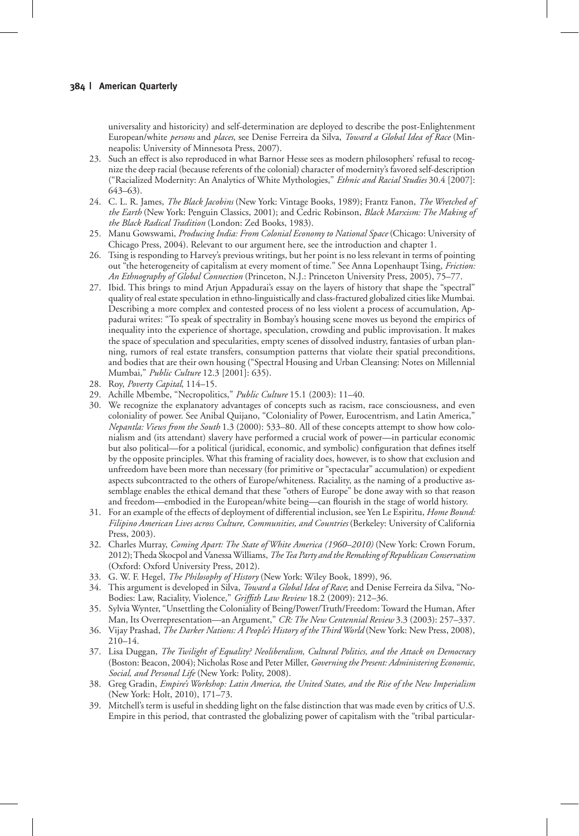universality and historicity) and self-determination are deployed to describe the post-Enlightenment European/white *persons* and *places*, see Denise Ferreira da Silva, *Toward a Global Idea of Race* (Minneapolis: University of Minnesota Press, 2007).

- 23. Such an effect is also reproduced in what Barnor Hesse sees as modern philosophers' refusal to recognize the deep racial (because referents of the colonial) character of modernity's favored self-description ("Racialized Modernity: An Analytics of White Mythologies," *Ethnic and Racial Studies* 30.4 [2007]: 643–63).
- 24. C. L. R. James, *The Black Jacobins* (New York: Vintage Books, 1989); Frantz Fanon, *The Wretched of the Earth* (New York: Penguin Classics, 2001); and Cedric Robinson, *Black Marxism: The Making of the Black Radical Tradition* (London: Zed Books, 1983).
- 25. Manu Gowswami, *Producing India: From Colonial Economy to National Space* (Chicago: University of Chicago Press, 2004). Relevant to our argument here, see the introduction and chapter 1.
- 26. Tsing is responding to Harvey's previous writings, but her point is no less relevant in terms of pointing out "the heterogeneity of capitalism at every moment of time." See Anna Lopenhaupt Tsing, *Friction: An Ethnography of Global Connection* (Princeton, N.J.: Princeton University Press, 2005), 75–77.
- 27. Ibid. This brings to mind Arjun Appadurai's essay on the layers of history that shape the "spectral" quality of real estate speculation in ethno-linguistically and class-fractured globalized cities like Mumbai. Describing a more complex and contested process of no less violent a process of accumulation, Appadurai writes: "To speak of spectrality in Bombay's housing scene moves us beyond the empirics of inequality into the experience of shortage, speculation, crowding and public improvisation. It makes the space of speculation and specularities, empty scenes of dissolved industry, fantasies of urban planning, rumors of real estate transfers, consumption patterns that violate their spatial preconditions, and bodies that are their own housing ("Spectral Housing and Urban Cleansing: Notes on Millennial Mumbai," *Public Culture* 12.3 [2001]: 635).
- 28. Roy, *Poverty Capital*, 114–15.
- 29. Achille Mbembe, "Necropolitics," *Public Culture* 15.1 (2003): 11–40.
- 30. We recognize the explanatory advantages of concepts such as racism, race consciousness, and even coloniality of power. See Anibal Quijano, "Coloniality of Power, Eurocentrism, and Latin America," *Nepantla: Views from the South* 1.3 (2000): 533–80. All of these concepts attempt to show how colonialism and (its attendant) slavery have performed a crucial work of power—in particular economic but also political—for a political (juridical, economic, and symbolic) configuration that defines itself by the opposite principles. What this framing of raciality does, however, is to show that exclusion and unfreedom have been more than necessary (for primitive or "spectacular" accumulation) or expedient aspects subcontracted to the others of Europe/whiteness. Raciality, as the naming of a productive assemblage enables the ethical demand that these "others of Europe" be done away with so that reason and freedom—embodied in the European/white being—can flourish in the stage of world history.
- 31. For an example of the effects of deployment of differential inclusion, see Yen Le Espiritu, *Home Bound: Filipino American Lives across Culture, Communities, and Countries* (Berkeley: University of California Press, 2003).
- 32. Charles Murray, *Coming Apart: The State of White America (1960–2010)* (New York: Crown Forum, 2012); Theda Skocpol and Vanessa Williams, *The Tea Party and the Remaking of Republican Conservatism* (Oxford: Oxford University Press, 2012).
- 33. G. W. F. Hegel, *The Philosophy of History* (New York: Wiley Book, 1899), 96.
- 34. This argument is developed in Silva, *Toward a Global Idea of Race*; and Denise Ferreira da Silva, "No-Bodies: Law, Raciality, Violence," *Griffith Law Review* 18.2 (2009): 212–36.
- 35. Sylvia Wynter, "Unsettling the Coloniality of Being/Power/Truth/Freedom: Toward the Human, After Man, Its Overrepresentation—an Argument," *CR: The New Centennial Review* 3.3 (2003): 257–337.
- 36. Vijay Prashad, *The Darker Nations: A People's History of the Third World* (New York: New Press, 2008), 210–14.
- 37. Lisa Duggan, *The Twilight of Equality? Neoliberalism, Cultural Politics, and the Attack on Democracy* (Boston: Beacon, 2004); Nicholas Rose and Peter Miller, *Governing the Present: Administering Economic, Social, and Personal Life* (New York: Polity, 2008).
- 38. Greg Gradin, *Empire's Workshop: Latin America, the United States, and the Rise of the New Imperialism*  (New York: Holt, 2010), 171–73.
- 39. Mitchell's term is useful in shedding light on the false distinction that was made even by critics of U.S. Empire in this period, that contrasted the globalizing power of capitalism with the "tribal particular-